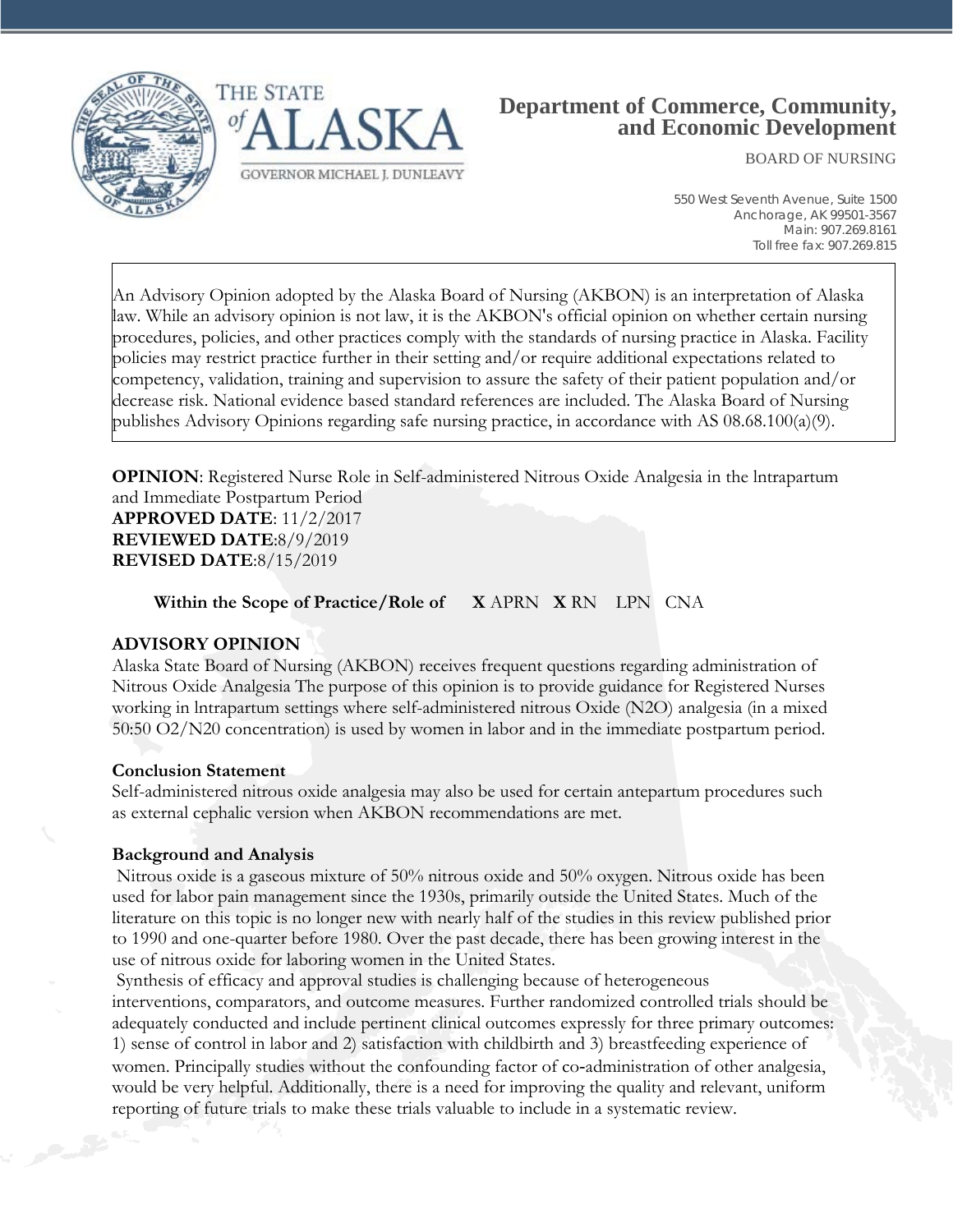



# **Department of Commerce, Community, and Economic Development**

BOARD OF NURSING

550 West Seventh Avenue, Suite 1500 Anchorage, AK 99501-3567 Main: 907.269.8161 Toll free fax: 907.269.815

An Advisory Opinion adopted by the Alaska Board of Nursing (AKBON) is an interpretation of Alaska law. While an advisory opinion is not law, it is the AKBON's official opinion on whether certain nursing procedures, policies, and other practices comply with the standards of nursing practice in Alaska. Facility policies may restrict practice further in their setting and/or require additional expectations related to competency, validation, training and supervision to assure the safety of their patient population and/or decrease risk. National evidence based standard references are included. The Alaska Board of Nursing publishes Advisory Opinions regarding safe nursing practice, in accordance with AS 08.68.100(a)(9).

**OPINION**: Registered Nurse Role in Self-administered Nitrous Oxide Analgesia in the Intrapartum and Immediate Postpartum Period **APPROVED DATE**: 11/2/2017

**REVIEWED DATE**:8/9/2019 **REVISED DATE**:8/15/2019

**Within the Scope of Practice/Role of X** APRN **X** RN LPN CNA

#### **ADVISORY OPINION**

Alaska State Board of Nursing (AKBON) receives frequent questions regarding administration of Nitrous Oxide Analgesia The purpose of this opinion is to provide guidance for Registered Nurses working in lntrapartum settings where self-administered nitrous Oxide (N2O) analgesia (in a mixed 50:50 O2/N20 concentration) is used by women in labor and in the immediate postpartum period.

#### **Conclusion Statement**

Self-administered nitrous oxide analgesia may also be used for certain antepartum procedures such as external cephalic version when AKBON recommendations are met.

#### **Background and Analysis**

Nitrous oxide is a gaseous mixture of 50% nitrous oxide and 50% oxygen. Nitrous oxide has been used for labor pain management since the 1930s, primarily outside the United States. Much of the literature on this topic is no longer new with nearly half of the studies in this review published prior to 1990 and one-quarter before 1980. Over the past decade, there has been growing interest in the use of nitrous oxide for laboring women in the United States.

Synthesis of efficacy and approval studies is challenging because of heterogeneous

interventions, comparators, and outcome measures. Further randomized controlled trials should be adequately conducted and include pertinent clinical outcomes expressly for three primary outcomes: 1) sense of control in labor and 2) satisfaction with childbirth and 3) breastfeeding experience of women. Principally studies without the confounding factor of co-administration of other analgesia, would be very helpful. Additionally, there is a need for improving the quality and relevant, uniform reporting of future trials to make these trials valuable to include in a systematic review.